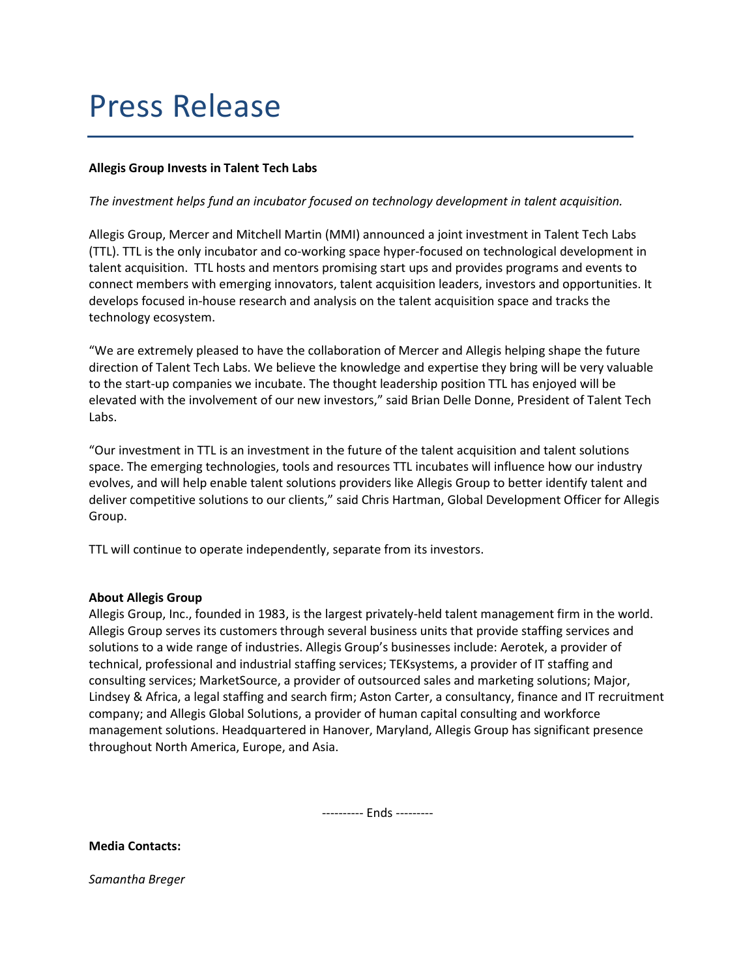## Press Release

## Allegis Group Invests in Talent Tech Labs

## The investment helps fund an incubator focused on technology development in talent acquisition.

Allegis Group, Mercer and Mitchell Martin (MMI) announced a joint investment in Talent Tech Labs (TTL). TTL is the only incubator and co-working space hyper-focused on technological development in talent acquisition. TTL hosts and mentors promising start ups and provides programs and events to connect members with emerging innovators, talent acquisition leaders, investors and opportunities. It develops focused in-house research and analysis on the talent acquisition space and tracks the technology ecosystem.

"We are extremely pleased to have the collaboration of Mercer and Allegis helping shape the future direction of Talent Tech Labs. We believe the knowledge and expertise they bring will be very valuable to the start-up companies we incubate. The thought leadership position TTL has enjoyed will be elevated with the involvement of our new investors," said Brian Delle Donne, President of Talent Tech Labs.

"Our investment in TTL is an investment in the future of the talent acquisition and talent solutions space. The emerging technologies, tools and resources TTL incubates will influence how our industry evolves, and will help enable talent solutions providers like Allegis Group to better identify talent and deliver competitive solutions to our clients," said Chris Hartman, Global Development Officer for Allegis Group.

TTL will continue to operate independently, separate from its investors.

## About Allegis Group

Allegis Group, Inc., founded in 1983, is the largest privately-held talent management firm in the world. Allegis Group serves its customers through several business units that provide staffing services and solutions to a wide range of industries. Allegis Group's businesses include: Aerotek, a provider of technical, professional and industrial staffing services; TEKsystems, a provider of IT staffing and consulting services; MarketSource, a provider of outsourced sales and marketing solutions; Major, Lindsey & Africa, a legal staffing and search firm; Aston Carter, a consultancy, finance and IT recruitment company; and Allegis Global Solutions, a provider of human capital consulting and workforce management solutions. Headquartered in Hanover, Maryland, Allegis Group has significant presence throughout North America, Europe, and Asia.

---------- Ends ---------

Media Contacts:

Samantha Breger